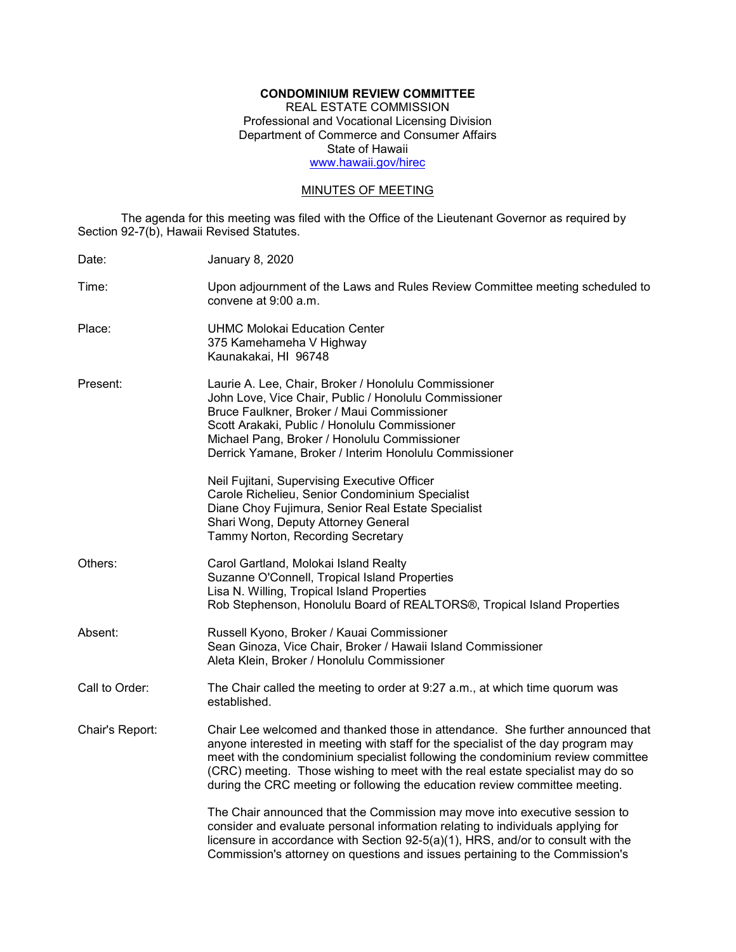# **CONDOMINIUM REVIEW COMMITTEE**

REAL ESTATE COMMISSION Professional and Vocational Licensing Division Department of Commerce and Consumer Affairs State of Hawaii [www.hawaii.gov/hirec](http://www.state.hi.us/hirec)

## MINUTES OF MEETING

The agenda for this meeting was filed with the Office of the Lieutenant Governor as required by Section 92-7(b), Hawaii Revised Statutes.

| Date:           | <b>January 8, 2020</b>                                                                                                                                                                                                                                                                                                                                                                                                  |
|-----------------|-------------------------------------------------------------------------------------------------------------------------------------------------------------------------------------------------------------------------------------------------------------------------------------------------------------------------------------------------------------------------------------------------------------------------|
| Time:           | Upon adjournment of the Laws and Rules Review Committee meeting scheduled to<br>convene at 9:00 a.m.                                                                                                                                                                                                                                                                                                                    |
| Place:          | <b>UHMC Molokai Education Center</b><br>375 Kamehameha V Highway<br>Kaunakakai, HI 96748                                                                                                                                                                                                                                                                                                                                |
| Present:        | Laurie A. Lee, Chair, Broker / Honolulu Commissioner<br>John Love, Vice Chair, Public / Honolulu Commissioner<br>Bruce Faulkner, Broker / Maui Commissioner<br>Scott Arakaki, Public / Honolulu Commissioner<br>Michael Pang, Broker / Honolulu Commissioner<br>Derrick Yamane, Broker / Interim Honolulu Commissioner                                                                                                  |
|                 | Neil Fujitani, Supervising Executive Officer<br>Carole Richelieu, Senior Condominium Specialist<br>Diane Choy Fujimura, Senior Real Estate Specialist<br>Shari Wong, Deputy Attorney General<br>Tammy Norton, Recording Secretary                                                                                                                                                                                       |
| Others:         | Carol Gartland, Molokai Island Realty<br>Suzanne O'Connell, Tropical Island Properties<br>Lisa N. Willing, Tropical Island Properties<br>Rob Stephenson, Honolulu Board of REALTORS®, Tropical Island Properties                                                                                                                                                                                                        |
| Absent:         | Russell Kyono, Broker / Kauai Commissioner<br>Sean Ginoza, Vice Chair, Broker / Hawaii Island Commissioner<br>Aleta Klein, Broker / Honolulu Commissioner                                                                                                                                                                                                                                                               |
| Call to Order:  | The Chair called the meeting to order at 9:27 a.m., at which time quorum was<br>established.                                                                                                                                                                                                                                                                                                                            |
| Chair's Report: | Chair Lee welcomed and thanked those in attendance. She further announced that<br>anyone interested in meeting with staff for the specialist of the day program may<br>meet with the condominium specialist following the condominium review committee<br>(CRC) meeting. Those wishing to meet with the real estate specialist may do so<br>during the CRC meeting or following the education review committee meeting. |
|                 | The Chair announced that the Commission may move into executive session to<br>consider and evaluate personal information relating to individuals applying for<br>licensure in accordance with Section 92-5(a)(1), HRS, and/or to consult with the<br>Commission's attorney on questions and issues pertaining to the Commission's                                                                                       |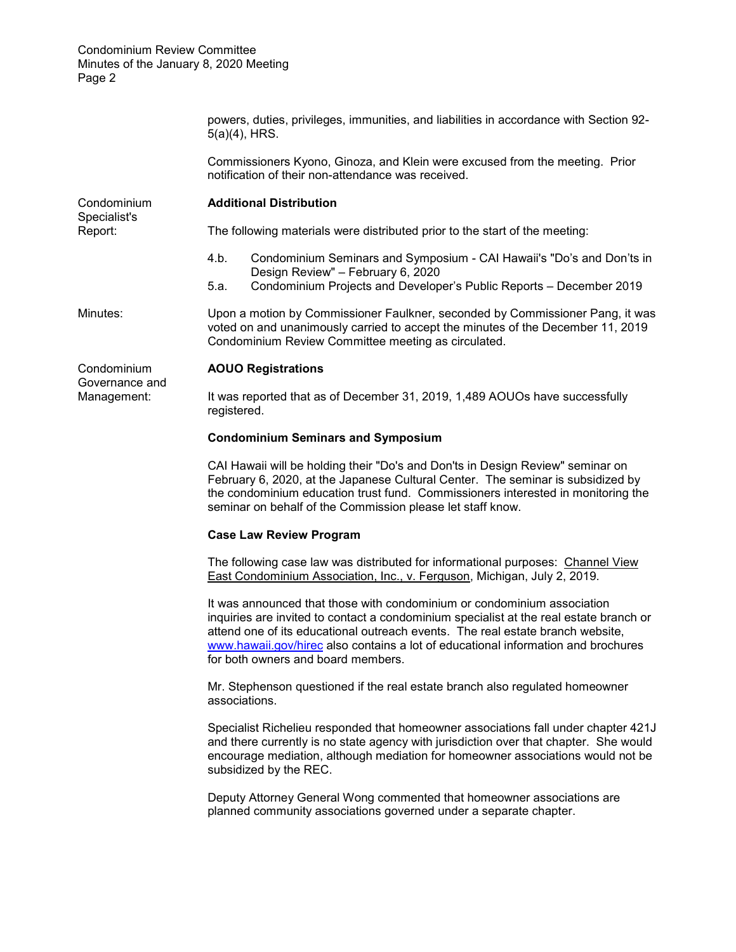|                               | powers, duties, privileges, immunities, and liabilities in accordance with Section 92-<br>$5(a)(4)$ , HRS.                                                                                                                                                                                                                                                                     |  |  |  |  |
|-------------------------------|--------------------------------------------------------------------------------------------------------------------------------------------------------------------------------------------------------------------------------------------------------------------------------------------------------------------------------------------------------------------------------|--|--|--|--|
|                               | Commissioners Kyono, Ginoza, and Klein were excused from the meeting. Prior<br>notification of their non-attendance was received.                                                                                                                                                                                                                                              |  |  |  |  |
| Condominium<br>Specialist's   | <b>Additional Distribution</b>                                                                                                                                                                                                                                                                                                                                                 |  |  |  |  |
| Report:                       | The following materials were distributed prior to the start of the meeting:                                                                                                                                                                                                                                                                                                    |  |  |  |  |
|                               | 4.b.<br>Condominium Seminars and Symposium - CAI Hawaii's "Do's and Don'ts in<br>Design Review" - February 6, 2020<br>Condominium Projects and Developer's Public Reports - December 2019<br>5.a.                                                                                                                                                                              |  |  |  |  |
| Minutes:                      | Upon a motion by Commissioner Faulkner, seconded by Commissioner Pang, it was<br>voted on and unanimously carried to accept the minutes of the December 11, 2019<br>Condominium Review Committee meeting as circulated.                                                                                                                                                        |  |  |  |  |
| Condominium<br>Governance and | <b>AOUO Registrations</b>                                                                                                                                                                                                                                                                                                                                                      |  |  |  |  |
| Management:                   | It was reported that as of December 31, 2019, 1,489 AOUOs have successfully<br>registered.                                                                                                                                                                                                                                                                                     |  |  |  |  |
|                               | <b>Condominium Seminars and Symposium</b>                                                                                                                                                                                                                                                                                                                                      |  |  |  |  |
|                               | CAI Hawaii will be holding their "Do's and Don'ts in Design Review" seminar on<br>February 6, 2020, at the Japanese Cultural Center. The seminar is subsidized by<br>the condominium education trust fund. Commissioners interested in monitoring the<br>seminar on behalf of the Commission please let staff know.                                                            |  |  |  |  |
|                               | <b>Case Law Review Program</b>                                                                                                                                                                                                                                                                                                                                                 |  |  |  |  |
|                               | The following case law was distributed for informational purposes: Channel View<br>East Condominium Association, Inc., v. Ferguson, Michigan, July 2, 2019.                                                                                                                                                                                                                    |  |  |  |  |
|                               | It was announced that those with condominium or condominium association<br>inquiries are invited to contact a condominium specialist at the real estate branch or<br>attend one of its educational outreach events. The real estate branch website,<br>www.hawaii.gov/hirec also contains a lot of educational information and brochures<br>for both owners and board members. |  |  |  |  |
|                               | Mr. Stephenson questioned if the real estate branch also regulated homeowner<br>associations.                                                                                                                                                                                                                                                                                  |  |  |  |  |
|                               | Specialist Richelieu responded that homeowner associations fall under chapter 421J<br>and there currently is no state agency with jurisdiction over that chapter. She would<br>encourage mediation, although mediation for homeowner associations would not be<br>subsidized by the REC.                                                                                       |  |  |  |  |
|                               | Deputy Attorney General Wong commented that homeowner associations are<br>planned community associations governed under a separate chapter.                                                                                                                                                                                                                                    |  |  |  |  |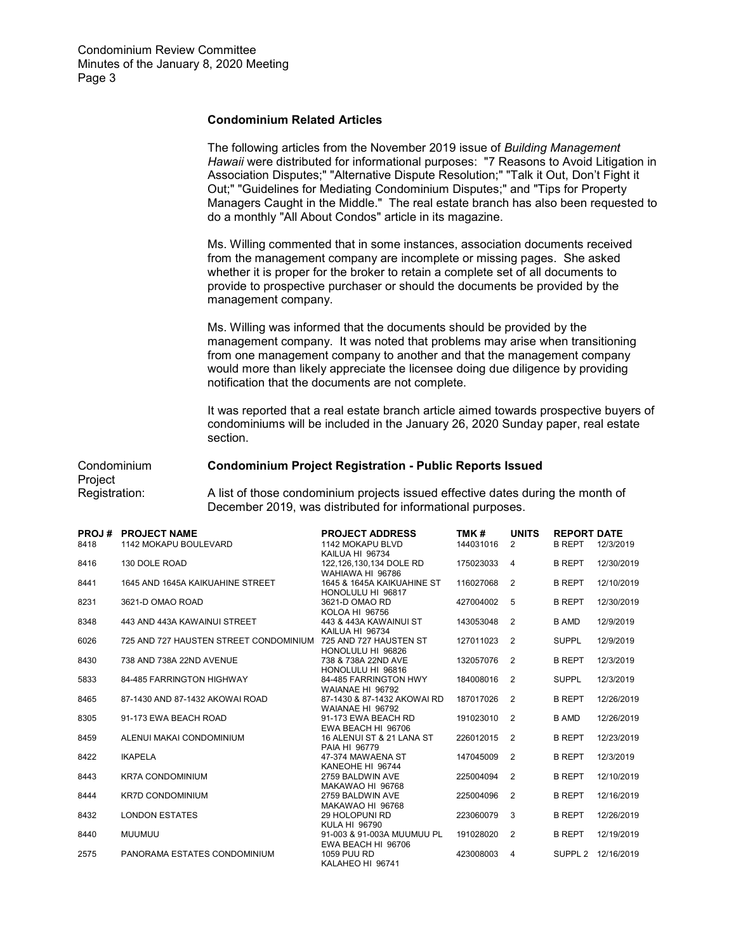## **Condominium Related Articles**

The following articles from the November 2019 issue of *Building Management Hawaii* were distributed for informational purposes: "7 Reasons to Avoid Litigation in Association Disputes;" "Alternative Dispute Resolution;" "Talk it Out, Don't Fight it Out;" "Guidelines for Mediating Condominium Disputes;" and "Tips for Property Managers Caught in the Middle." The real estate branch has also been requested to do a monthly "All About Condos" article in its magazine.

Ms. Willing commented that in some instances, association documents received from the management company are incomplete or missing pages. She asked whether it is proper for the broker to retain a complete set of all documents to provide to prospective purchaser or should the documents be provided by the management company.

Ms. Willing was informed that the documents should be provided by the management company. It was noted that problems may arise when transitioning from one management company to another and that the management company would more than likely appreciate the licensee doing due diligence by providing notification that the documents are not complete.

It was reported that a real estate branch article aimed towards prospective buyers of condominiums will be included in the January 26, 2020 Sunday paper, real estate section.

# Condominium **Condominium Project Registration - Public Reports Issued** Project

Registration: A list of those condominium projects issued effective dates during the month of December 2019, was distributed for informational purposes.

| PROJ# | <b>PROJECT NAME</b>                    | <b>PROJECT ADDRESS</b>                         | TMK#      | <b>UNITS</b>   | <b>REPORT DATE</b> |            |
|-------|----------------------------------------|------------------------------------------------|-----------|----------------|--------------------|------------|
| 8418  | 1142 MOKAPU BOULEVARD                  | 1142 MOKAPU BLVD                               | 144031016 | 2              | <b>B REPT</b>      | 12/3/2019  |
|       |                                        | KAILUA HI 96734                                |           |                |                    |            |
| 8416  | 130 DOLE ROAD                          | 122,126,130,134 DOLE RD                        | 175023033 | $\overline{4}$ | <b>B REPT</b>      | 12/30/2019 |
| 8441  | 1645 AND 1645A KAIKUAHINE STREET       | WAHIAWA HI 96786<br>1645 & 1645A KAIKUAHINE ST | 116027068 | $\overline{2}$ | <b>B REPT</b>      | 12/10/2019 |
|       |                                        | HONOLULU HI 96817                              |           |                |                    |            |
| 8231  | 3621-D OMAO ROAD                       | 3621-D OMAO RD                                 | 427004002 | 5              | <b>B REPT</b>      | 12/30/2019 |
|       |                                        | <b>KOLOA HI 96756</b>                          |           |                |                    |            |
| 8348  | 443 AND 443A KAWAINUI STREET           | 443 & 443A KAWAINUI ST                         | 143053048 | $\overline{2}$ | <b>B AMD</b>       | 12/9/2019  |
|       |                                        | KAILUA HI 96734                                |           |                |                    |            |
| 6026  | 725 AND 727 HAUSTEN STREET CONDOMINIUM | 725 AND 727 HAUSTEN ST                         | 127011023 | $\overline{2}$ | <b>SUPPL</b>       | 12/9/2019  |
|       |                                        | HONOLULU HI 96826                              |           |                |                    |            |
| 8430  | 738 AND 738A 22ND AVENUE               | 738 & 738A 22ND AVE                            | 132057076 | $\overline{2}$ | <b>B REPT</b>      | 12/3/2019  |
|       |                                        | HONOLULU HI 96816                              |           |                |                    |            |
| 5833  | 84-485 FARRINGTON HIGHWAY              | 84-485 FARRINGTON HWY                          | 184008016 | 2              | <b>SUPPL</b>       | 12/3/2019  |
|       |                                        | WAIANAE HI 96792                               |           |                |                    |            |
| 8465  | 87-1430 AND 87-1432 AKOWAI ROAD        | 87-1430 & 87-1432 AKOWAI RD                    | 187017026 | $\overline{2}$ | <b>B REPT</b>      | 12/26/2019 |
|       |                                        | WAIANAE HI 96792                               |           |                |                    |            |
| 8305  | 91-173 EWA BEACH ROAD                  | 91-173 EWA BEACH RD                            | 191023010 | $\overline{2}$ | <b>B AMD</b>       | 12/26/2019 |
|       |                                        | EWA BEACH HI 96706                             |           |                |                    |            |
| 8459  | ALENUI MAKAI CONDOMINIUM               | 16 ALENUI ST & 21 LANA ST                      | 226012015 | $\overline{2}$ | <b>B REPT</b>      | 12/23/2019 |
|       |                                        | PAIA HI 96779                                  |           |                |                    |            |
| 8422  | <b>IKAPELA</b>                         | 47-374 MAWAENA ST                              | 147045009 | 2              | <b>B REPT</b>      | 12/3/2019  |
| 8443  | <b>KR7A CONDOMINIUM</b>                | KANEOHE HI 96744<br>2759 BALDWIN AVE           | 225004094 | $\overline{2}$ | <b>B REPT</b>      | 12/10/2019 |
|       |                                        | MAKAWAO HI 96768                               |           |                |                    |            |
| 8444  | <b>KR7D CONDOMINIUM</b>                | 2759 BALDWIN AVE                               | 225004096 | $\overline{2}$ | <b>B REPT</b>      | 12/16/2019 |
|       |                                        | MAKAWAO HI 96768                               |           |                |                    |            |
| 8432  | <b>LONDON ESTATES</b>                  | 29 HOLOPUNI RD                                 | 223060079 | 3              | <b>B REPT</b>      | 12/26/2019 |
|       |                                        | KULA HI 96790                                  |           |                |                    |            |
| 8440  | <b>MUUMUU</b>                          | 91-003 & 91-003A MUUMUU PL                     | 191028020 | $\overline{2}$ | <b>B REPT</b>      | 12/19/2019 |
|       |                                        | EWA BEACH HI 96706                             |           |                |                    |            |
| 2575  | PANORAMA ESTATES CONDOMINIUM           | <b>1059 PUU RD</b>                             | 423008003 | 4              | SUPPL <sub>2</sub> | 12/16/2019 |
|       |                                        | KALAHEO HI 96741                               |           |                |                    |            |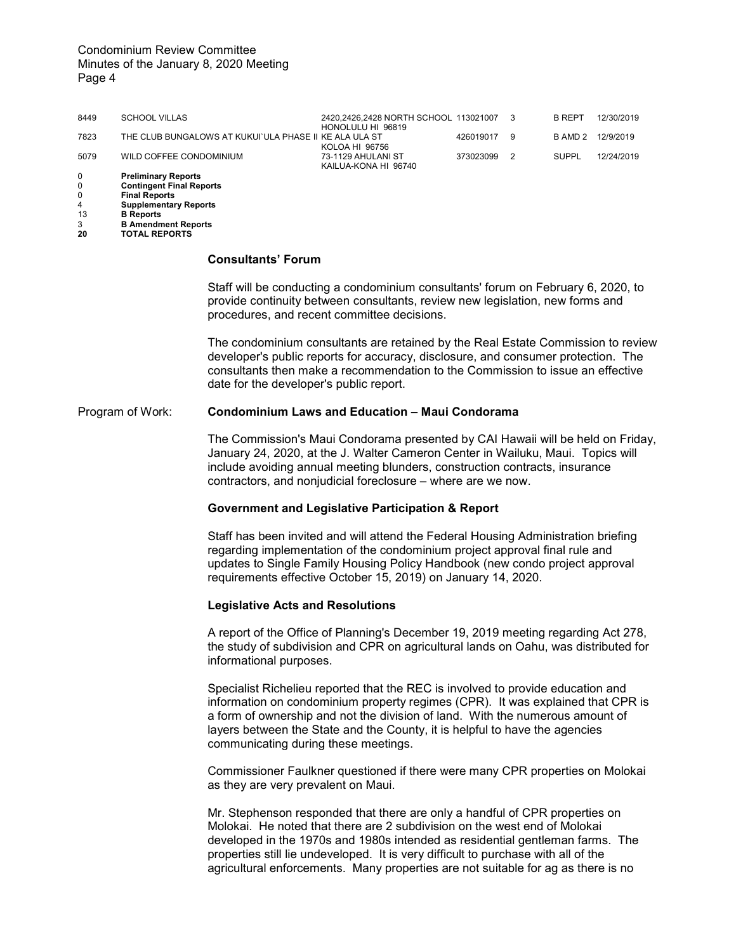## Condominium Review Committee Minutes of the January 8, 2020 Meeting Page 4

| 8449 | <b>SCHOOL VILLAS</b>                                   | 2420,2426,2428 NORTH SCHOOL 113021007<br>HONOLULU HI 96819 |           | - 3 | <b>B REPT</b> | 12/30/2019 |
|------|--------------------------------------------------------|------------------------------------------------------------|-----------|-----|---------------|------------|
| 7823 | THE CLUB BUNGALOWS AT KUKUI`ULA PHASE II KE ALA ULA ST | KOLOA HI 96756                                             | 426019017 | 9   | B AMD 2       | 12/9/2019  |
| 5079 | WILD COFFEE CONDOMINIUM                                | 73-1129 AHULANI ST<br>KAILUA-KONA HI 96740                 | 373023099 | - 2 | SUPPL         | 12/24/2019 |
| 0    | <b>Preliminary Reports</b>                             |                                                            |           |     |               |            |
| 0    | <b>Contingent Final Reports</b>                        |                                                            |           |     |               |            |
| 0    | <b>Final Reports</b>                                   |                                                            |           |     |               |            |
| 4    | <b>Supplementary Reports</b>                           |                                                            |           |     |               |            |
| 13   | <b>B</b> Reports                                       |                                                            |           |     |               |            |
| 3    | <b>B Amendment Reports</b>                             |                                                            |           |     |               |            |

**20 TOTAL REPORTS**

#### **Consultants' Forum**

Staff will be conducting a condominium consultants' forum on February 6, 2020, to provide continuity between consultants, review new legislation, new forms and procedures, and recent committee decisions.

The condominium consultants are retained by the Real Estate Commission to review developer's public reports for accuracy, disclosure, and consumer protection. The consultants then make a recommendation to the Commission to issue an effective date for the developer's public report.

### Program of Work: **Condominium Laws and Education – Maui Condorama**

The Commission's Maui Condorama presented by CAI Hawaii will be held on Friday, January 24, 2020, at the J. Walter Cameron Center in Wailuku, Maui. Topics will include avoiding annual meeting blunders, construction contracts, insurance contractors, and nonjudicial foreclosure – where are we now.

## **Government and Legislative Participation & Report**

Staff has been invited and will attend the Federal Housing Administration briefing regarding implementation of the condominium project approval final rule and updates to Single Family Housing Policy Handbook (new condo project approval requirements effective October 15, 2019) on January 14, 2020.

### **Legislative Acts and Resolutions**

A report of the Office of Planning's December 19, 2019 meeting regarding Act 278, the study of subdivision and CPR on agricultural lands on Oahu, was distributed for informational purposes.

Specialist Richelieu reported that the REC is involved to provide education and information on condominium property regimes (CPR). It was explained that CPR is a form of ownership and not the division of land. With the numerous amount of layers between the State and the County, it is helpful to have the agencies communicating during these meetings.

Commissioner Faulkner questioned if there were many CPR properties on Molokai as they are very prevalent on Maui.

Mr. Stephenson responded that there are only a handful of CPR properties on Molokai. He noted that there are 2 subdivision on the west end of Molokai developed in the 1970s and 1980s intended as residential gentleman farms. The properties still lie undeveloped. It is very difficult to purchase with all of the agricultural enforcements. Many properties are not suitable for ag as there is no